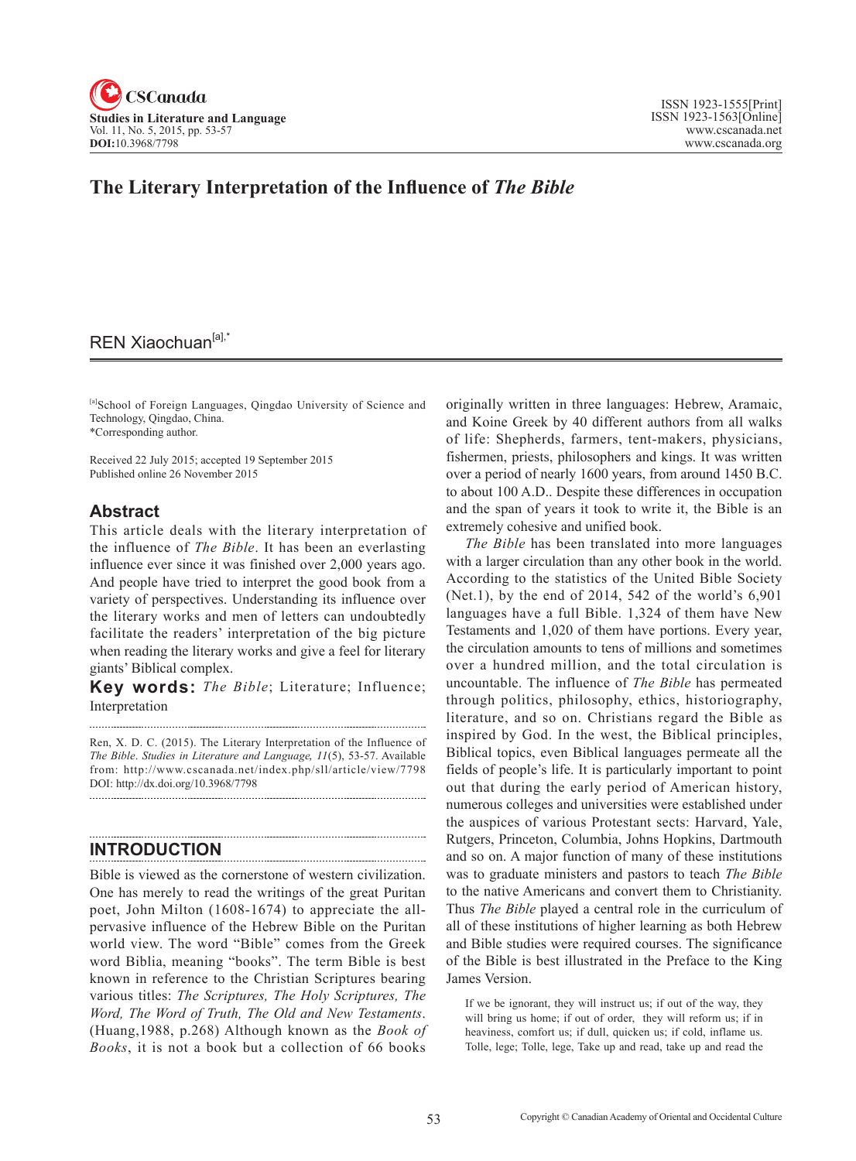

## **The Literary Interpretation of the Influence of** *The Bible*

## REN Xiaochuan<sup>[a],\*</sup>

[a]School of Foreign Languages, Qingdao University of Science and Technology, Qingdao, China. \*Corresponding author.

Received 22 July 2015; accepted 19 September 2015 Published online 26 November 2015

### **Abstract**

This article deals with the literary interpretation of the influence of *The Bible*. It has been an everlasting influence ever since it was finished over 2,000 years ago. And people have tried to interpret the good book from a variety of perspectives. Understanding its influence over the literary works and men of letters can undoubtedly facilitate the readers' interpretation of the big picture when reading the literary works and give a feel for literary giants' Biblical complex.

**Key words:** *The Bible*; Literature; Influence; Interpretation

Ren, X. D. C. (2015). The Literary Interpretation of the Influence of *The Bible*. *Studies in Literature and Language*, <sup>11</sup>(5), 53-57. Available from: http://www.cscanada.net/index.php/sll/article/view/7798 DOI: http://dx.doi.org/10.3968/7798 

## **INTRODUCTION**

Bible is viewed as the cornerstone of western civilization. One has merely to read the writings of the great Puritan poet, John Milton (1608-1674) to appreciate the allpervasive influence of the Hebrew Bible on the Puritan world view. The word "Bible" comes from the Greek word Biblia, meaning "books". The term Bible is best known in reference to the Christian Scriptures bearing various titles: *The Scriptures, The Holy Scriptures, The Word, The Word of Truth, The Old and New Testaments*. (Huang,1988, p.268) Although known as the *Book of Books*, it is not a book but a collection of 66 books

originally written in three languages: Hebrew, Aramaic, and Koine Greek by 40 different authors from all walks of life: Shepherds, farmers, tent-makers, physicians, fishermen, priests, philosophers and kings. It was written over a period of nearly 1600 years, from around 1450 B.C. to about 100 A.D.. Despite these differences in occupation and the span of years it took to write it, the Bible is an extremely cohesive and unified book.

*The Bible* has been translated into more languages with a larger circulation than any other book in the world. According to the statistics of the United Bible Society (Net.1), by the end of 2014, 542 of the world's 6,901 languages have a full Bible. 1,324 of them have New Testaments and 1,020 of them have portions. Every year, the circulation amounts to tens of millions and sometimes over a hundred million, and the total circulation is uncountable. The influence of *The Bible* has permeated through politics, philosophy, ethics, historiography, literature, and so on. Christians regard the Bible as inspired by God. In the west, the Biblical principles, Biblical topics, even Biblical languages permeate all the fields of people's life. It is particularly important to point out that during the early period of American history, numerous colleges and universities were established under the auspices of various Protestant sects: Harvard, Yale, Rutgers, Princeton, Columbia, Johns Hopkins, Dartmouth and so on. A major function of many of these institutions was to graduate ministers and pastors to teach *The Bible* to the native Americans and convert them to Christianity. Thus *The Bible* played a central role in the curriculum of all of these institutions of higher learning as both Hebrew and Bible studies were required courses. The significance of the Bible is best illustrated in the Preface to the King James Version.

If we be ignorant, they will instruct us; if out of the way, they will bring us home; if out of order, they will reform us; if in heaviness, comfort us; if dull, quicken us; if cold, inflame us. Tolle, lege; Tolle, lege, Take up and read, take up and read the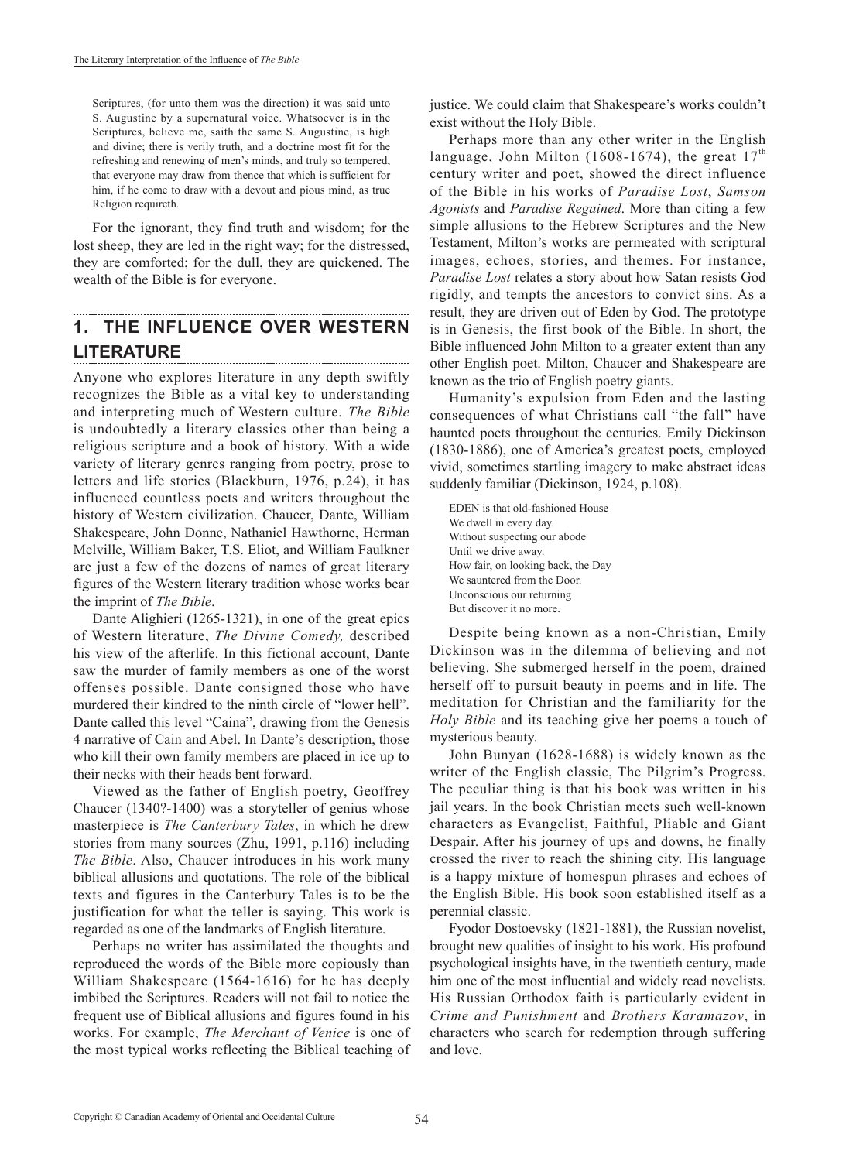Scriptures, (for unto them was the direction) it was said unto S. Augustine by a supernatural voice. Whatsoever is in the Scriptures, believe me, saith the same S. Augustine, is high and divine; there is verily truth, and a doctrine most fit for the refreshing and renewing of men's minds, and truly so tempered, that everyone may draw from thence that which is sufficient for him, if he come to draw with a devout and pious mind, as true Religion requireth.

For the ignorant, they find truth and wisdom; for the lost sheep, they are led in the right way; for the distressed, they are comforted; for the dull, they are quickened. The wealth of the Bible is for everyone.

# **1. THE INFLUENCE OVER WESTERN LITERATURE**

Anyone who explores literature in any depth swiftly recognizes the Bible as a vital key to understanding and interpreting much of Western culture. *The Bible* is undoubtedly a literary classics other than being a religious scripture and a book of history. With a wide variety of literary genres ranging from poetry, prose to letters and life stories (Blackburn, 1976, p.24), it has influenced countless poets and writers throughout the history of Western civilization. Chaucer, Dante, William Shakespeare, John Donne, Nathaniel Hawthorne, Herman Melville, William Baker, T.S. Eliot, and William Faulkner are just a few of the dozens of names of great literary figures of the Western literary tradition whose works bear the imprint of *The Bible*.

Dante Alighieri (1265-1321), in one of the great epics of Western literature, *The Divine Comedy,* described his view of the afterlife. In this fictional account, Dante saw the murder of family members as one of the worst offenses possible. Dante consigned those who have murdered their kindred to the ninth circle of "lower hell". Dante called this level "Caina", drawing from the Genesis 4 narrative of Cain and Abel. In Dante's description, those who kill their own family members are placed in ice up to their necks with their heads bent forward.

Viewed as the father of English poetry, Geoffrey Chaucer (1340?-1400) was a storyteller of genius whose masterpiece is *The Canterbury Tales*, in which he drew stories from many sources (Zhu, 1991, p.116) including *The Bible*. Also, Chaucer introduces in his work many biblical allusions and quotations. The role of the biblical texts and figures in the Canterbury Tales is to be the justification for what the teller is saying. This work is regarded as one of the landmarks of English literature.

Perhaps no writer has assimilated the thoughts and reproduced the words of the Bible more copiously than William Shakespeare (1564-1616) for he has deeply imbibed the Scriptures. Readers will not fail to notice the frequent use of Biblical allusions and figures found in his works. For example, *The Merchant of Venice* is one of the most typical works reflecting the Biblical teaching of justice. We could claim that Shakespeare's works couldn't exist without the Holy Bible.

Perhaps more than any other writer in the English language, John Milton (1608-1674), the great  $17<sup>th</sup>$ century writer and poet, showed the direct influence of the Bible in his works of *Paradise Lost*, *Samson Agonists* and *Paradise Regained*. More than citing a few simple allusions to the Hebrew Scriptures and the New Testament, Milton's works are permeated with scriptural images, echoes, stories, and themes. For instance, *Paradise Lost* relates a story about how Satan resists God rigidly, and tempts the ancestors to convict sins. As a result, they are driven out of Eden by God. The prototype is in Genesis, the first book of the Bible. In short, the Bible influenced John Milton to a greater extent than any other English poet. Milton, Chaucer and Shakespeare are known as the trio of English poetry giants.

Humanity's expulsion from Eden and the lasting consequences of what Christians call "the fall" have haunted poets throughout the centuries. Emily Dickinson (1830-1886), one of America's greatest poets, employed vivid, sometimes startling imagery to make abstract ideas suddenly familiar (Dickinson, 1924, p.108).

EDEN is that old-fashioned House We dwell in every day. Without suspecting our abode Until we drive away. How fair, on looking back, the Day We sauntered from the Door. Unconscious our returning But discover it no more.

Despite being known as a non-Christian, Emily Dickinson was in the dilemma of believing and not believing. She submerged herself in the poem, drained herself off to pursuit beauty in poems and in life. The meditation for Christian and the familiarity for the *Holy Bible* and its teaching give her poems a touch of mysterious beauty.

John Bunyan (1628-1688) is widely known as the writer of the English classic, The Pilgrim's Progress. The peculiar thing is that his book was written in his jail years. In the book Christian meets such well-known characters as Evangelist, Faithful, Pliable and Giant Despair. After his journey of ups and downs, he finally crossed the river to reach the shining city. His language is a happy mixture of homespun phrases and echoes of the English Bible. His book soon established itself as a perennial classic.

Fyodor Dostoevsky (1821-1881), the Russian novelist, brought new qualities of insight to his work. His profound psychological insights have, in the twentieth century, made him one of the most influential and widely read novelists. His Russian Orthodox faith is particularly evident in *Crime and Punishment* and *Brothers Karamazov*, in characters who search for redemption through suffering and love.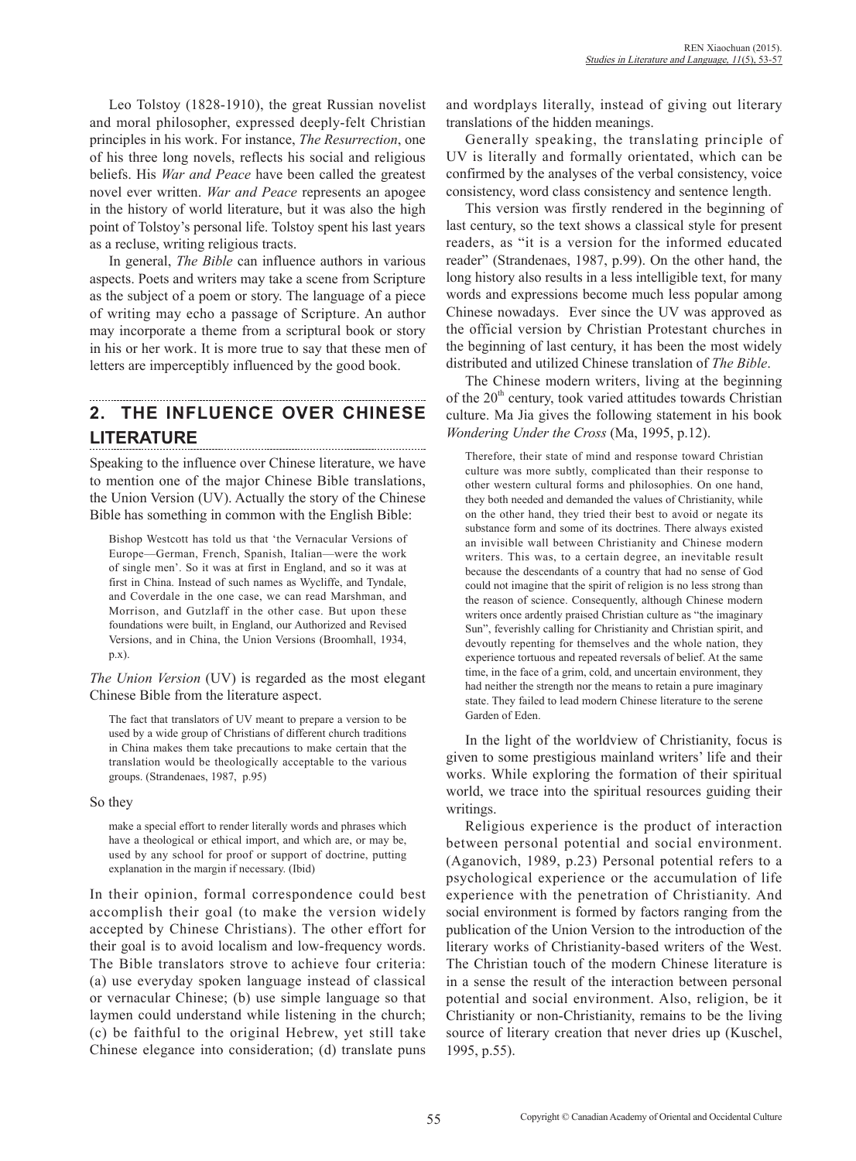Leo Tolstoy (1828-1910), the great Russian novelist and moral philosopher, expressed deeply-felt Christian principles in his work. For instance, *The Resurrection*, one of his three long novels, reflects his social and religious beliefs. His *War and Peace* have been called the greatest novel ever written. *War and Peace* represents an apogee in the history of world literature, but it was also the high point of Tolstoy's personal life. Tolstoy spent his last years as a recluse, writing religious tracts.

In general, *The Bible* can influence authors in various aspects. Poets and writers may take a scene from Scripture as the subject of a poem or story. The language of a piece of writing may echo a passage of Scripture. An author may incorporate a theme from a scriptural book or story in his or her work. It is more true to say that these men of letters are imperceptibly influenced by the good book.

# **2. THE INFLUENCE OVER CHINESE LITERATURE**

Speaking to the influence over Chinese literature, we have to mention one of the major Chinese Bible translations, the Union Version (UV). Actually the story of the Chinese Bible has something in common with the English Bible:

Bishop Westcott has told us that 'the Vernacular Versions of Europe—German, French, Spanish, Italian—were the work of single men'. So it was at first in England, and so it was at first in China. Instead of such names as Wycliffe, and Tyndale, and Coverdale in the one case, we can read Marshman, and Morrison, and Gutzlaff in the other case. But upon these foundations were built, in England, our Authorized and Revised Versions, and in China, the Union Versions (Broomhall, 1934, p.x).

*The Union Version* (UV) is regarded as the most elegant Chinese Bible from the literature aspect.

The fact that translators of UV meant to prepare a version to be used by a wide group of Christians of different church traditions in China makes them take precautions to make certain that the translation would be theologically acceptable to the various groups. (Strandenaes, 1987, p.95)

#### So they

make a special effort to render literally words and phrases which have a theological or ethical import, and which are, or may be, used by any school for proof or support of doctrine, putting explanation in the margin if necessary. (Ibid)

In their opinion, formal correspondence could best accomplish their goal (to make the version widely accepted by Chinese Christians). The other effort for their goal is to avoid localism and low-frequency words. The Bible translators strove to achieve four criteria: (a) use everyday spoken language instead of classical or vernacular Chinese; (b) use simple language so that laymen could understand while listening in the church; (c) be faithful to the original Hebrew, yet still take Chinese elegance into consideration; (d) translate puns

and wordplays literally, instead of giving out literary translations of the hidden meanings.

Generally speaking, the translating principle of UV is literally and formally orientated, which can be confirmed by the analyses of the verbal consistency, voice consistency, word class consistency and sentence length.

This version was firstly rendered in the beginning of last century, so the text shows a classical style for present readers, as "it is a version for the informed educated reader" (Strandenaes, 1987, p.99). On the other hand, the long history also results in a less intelligible text, for many words and expressions become much less popular among Chinese nowadays. Ever since the UV was approved as the official version by Christian Protestant churches in the beginning of last century, it has been the most widely distributed and utilized Chinese translation of *The Bible*.

The Chinese modern writers, living at the beginning of the  $20<sup>th</sup>$  century, took varied attitudes towards Christian culture. Ma Jia gives the following statement in his book *Wondering Under the Cross* (Ma, 1995, p.12).

Therefore, their state of mind and response toward Christian culture was more subtly, complicated than their response to other western cultural forms and philosophies. On one hand, they both needed and demanded the values of Christianity, while on the other hand, they tried their best to avoid or negate its substance form and some of its doctrines. There always existed an invisible wall between Christianity and Chinese modern writers. This was, to a certain degree, an inevitable result because the descendants of a country that had no sense of God could not imagine that the spirit of religion is no less strong than the reason of science. Consequently, although Chinese modern writers once ardently praised Christian culture as "the imaginary Sun", feverishly calling for Christianity and Christian spirit, and devoutly repenting for themselves and the whole nation, they experience tortuous and repeated reversals of belief. At the same time, in the face of a grim, cold, and uncertain environment, they had neither the strength nor the means to retain a pure imaginary state. They failed to lead modern Chinese literature to the serene Garden of Eden.

In the light of the worldview of Christianity, focus is given to some prestigious mainland writers' life and their works. While exploring the formation of their spiritual world, we trace into the spiritual resources guiding their writings.

Religious experience is the product of interaction between personal potential and social environment. (Aganovich, 1989, p.23) Personal potential refers to a psychological experience or the accumulation of life experience with the penetration of Christianity. And social environment is formed by factors ranging from the publication of the Union Version to the introduction of the literary works of Christianity-based writers of the West. The Christian touch of the modern Chinese literature is in a sense the result of the interaction between personal potential and social environment. Also, religion, be it Christianity or non-Christianity, remains to be the living source of literary creation that never dries up (Kuschel, 1995, p.55).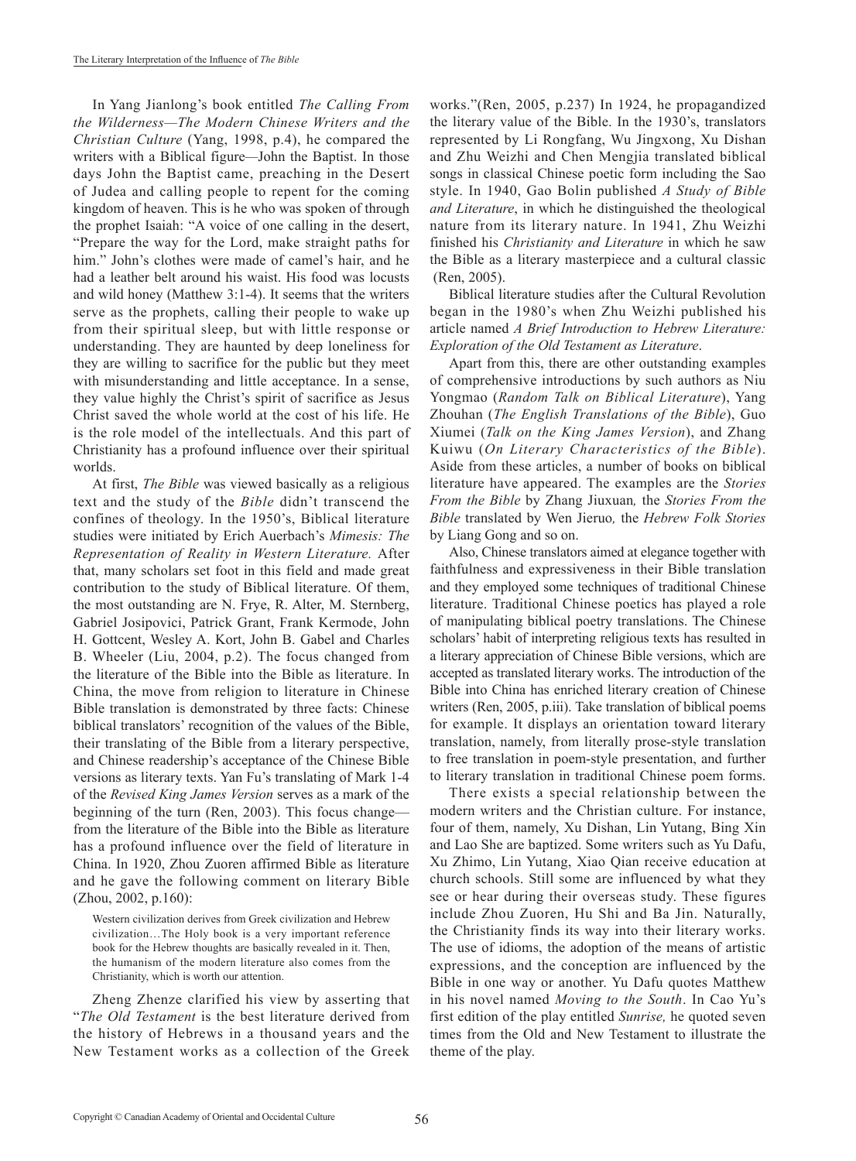In Yang Jianlong's book entitled *The Calling From the Wilderness—The Modern Chinese Writers and the Christian Culture* (Yang, 1998, p.4), he compared the writers with a Biblical figure*—*John the Baptist. In those days John the Baptist came, preaching in the Desert of Judea and calling people to repent for the coming kingdom of heaven. This is he who was spoken of through the prophet Isaiah: "A voice of one calling in the desert, "Prepare the way for the Lord, make straight paths for him." John's clothes were made of camel's hair, and he had a leather belt around his waist. His food was locusts and wild honey (Matthew 3:1-4). It seems that the writers serve as the prophets, calling their people to wake up from their spiritual sleep, but with little response or understanding. They are haunted by deep loneliness for they are willing to sacrifice for the public but they meet with misunderstanding and little acceptance. In a sense, they value highly the Christ's spirit of sacrifice as Jesus Christ saved the whole world at the cost of his life. He is the role model of the intellectuals. And this part of Christianity has a profound influence over their spiritual worlds.

At first, *The Bible* was viewed basically as a religious text and the study of the *Bible* didn't transcend the confines of theology. In the 1950's, Biblical literature studies were initiated by Erich Auerbach's *Mimesis: The Representation of Reality in Western Literature.* After that, many scholars set foot in this field and made great contribution to the study of Biblical literature. Of them, the most outstanding are N. Frye, R. Alter, M. Sternberg, Gabriel Josipovici, Patrick Grant, Frank Kermode, John H. Gottcent, Wesley A. Kort, John B. Gabel and Charles B. Wheeler (Liu, 2004, p.2). The focus changed from the literature of the Bible into the Bible as literature. In China, the move from religion to literature in Chinese Bible translation is demonstrated by three facts: Chinese biblical translators' recognition of the values of the Bible, their translating of the Bible from a literary perspective, and Chinese readership's acceptance of the Chinese Bible versions as literary texts. Yan Fu's translating of Mark 1-4 of the *Revised King James Version* serves as a mark of the beginning of the turn (Ren, 2003). This focus change from the literature of the Bible into the Bible as literature has a profound influence over the field of literature in China. In 1920, Zhou Zuoren affirmed Bible as literature and he gave the following comment on literary Bible (Zhou, 2002, p.160):

Western civilization derives from Greek civilization and Hebrew civilization…The Holy book is a very important reference book for the Hebrew thoughts are basically revealed in it. Then, the humanism of the modern literature also comes from the Christianity, which is worth our attention.

Zheng Zhenze clarified his view by asserting that "*The Old Testament* is the best literature derived from the history of Hebrews in a thousand years and the New Testament works as a collection of the Greek

works."(Ren, 2005, p.237) In 1924, he propagandized the literary value of the Bible. In the 1930's, translators represented by Li Rongfang, Wu Jingxong, Xu Dishan and Zhu Weizhi and Chen Mengjia translated biblical songs in classical Chinese poetic form including the Sao style. In 1940, Gao Bolin published *A Study of Bible and Literature*, in which he distinguished the theological nature from its literary nature. In 1941, Zhu Weizhi finished his *Christianity and Literature* in which he saw the Bible as a literary masterpiece and a cultural classic (Ren, 2005).

Biblical literature studies after the Cultural Revolution began in the 1980's when Zhu Weizhi published his article named *A Brief Introduction to Hebrew Literature: Exploration of the Old Testament as Literature*.

Apart from this, there are other outstanding examples of comprehensive introductions by such authors as Niu Yongmao (*Random Talk on Biblical Literature*), Yang Zhouhan (*The English Translations of the Bible*), Guo Xiumei (*Talk on the King James Version*), and Zhang Kuiwu (*On Literary Characteristics of the Bible*). Aside from these articles, a number of books on biblical literature have appeared. The examples are the *Stories From the Bible* by Zhang Jiuxuan*,* the *Stories From the Bible* translated by Wen Jieruo*,* the *Hebrew Folk Stories*  by Liang Gong and so on.

Also, Chinese translators aimed at elegance together with faithfulness and expressiveness in their Bible translation and they employed some techniques of traditional Chinese literature. Traditional Chinese poetics has played a role of manipulating biblical poetry translations. The Chinese scholars' habit of interpreting religious texts has resulted in a literary appreciation of Chinese Bible versions, which are accepted as translated literary works. The introduction of the Bible into China has enriched literary creation of Chinese writers (Ren, 2005, p.iii). Take translation of biblical poems for example. It displays an orientation toward literary translation, namely, from literally prose-style translation to free translation in poem-style presentation, and further to literary translation in traditional Chinese poem forms.

There exists a special relationship between the modern writers and the Christian culture. For instance, four of them, namely, Xu Dishan, Lin Yutang, Bing Xin and Lao She are baptized. Some writers such as Yu Dafu, Xu Zhimo, Lin Yutang, Xiao Qian receive education at church schools. Still some are influenced by what they see or hear during their overseas study. These figures include Zhou Zuoren, Hu Shi and Ba Jin. Naturally, the Christianity finds its way into their literary works. The use of idioms, the adoption of the means of artistic expressions, and the conception are influenced by the Bible in one way or another. Yu Dafu quotes Matthew in his novel named *Moving to the South*. In Cao Yu's first edition of the play entitled *Sunrise,* he quoted seven times from the Old and New Testament to illustrate the theme of the play.